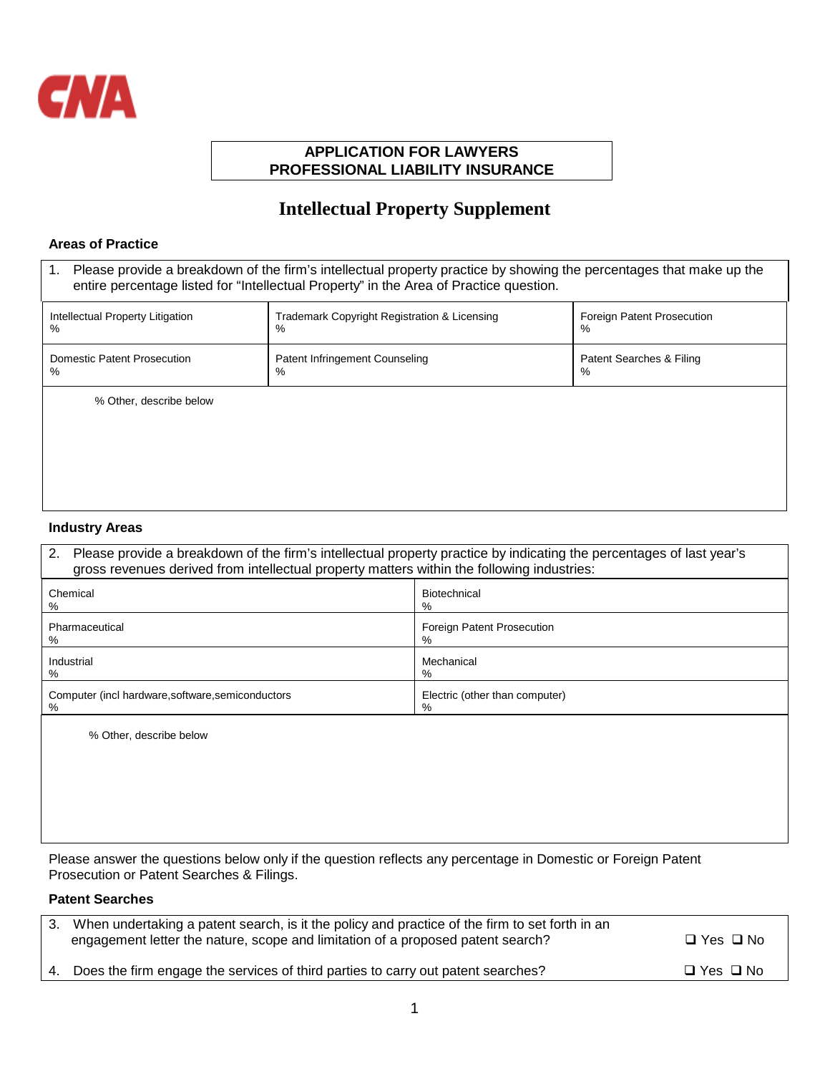

### **APPLICATION FOR LAWYERS PROFESSIONAL LIABILITY INSURANCE**

# **Intellectual Property Supplement**

#### **Areas of Practice**

| Please provide a breakdown of the firm's intellectual property practice by showing the percentages that make up the<br>1.<br>entire percentage listed for "Intellectual Property" in the Area of Practice question. |                                                   |                                 |  |  |
|---------------------------------------------------------------------------------------------------------------------------------------------------------------------------------------------------------------------|---------------------------------------------------|---------------------------------|--|--|
| Intellectual Property Litigation<br>$\%$                                                                                                                                                                            | Trademark Copyright Registration & Licensing<br>% | Foreign Patent Prosecution<br>% |  |  |
| <b>Domestic Patent Prosecution</b><br>%                                                                                                                                                                             | Patent Infringement Counseling<br>%               | Patent Searches & Filing<br>%   |  |  |
| % Other, describe below                                                                                                                                                                                             |                                                   |                                 |  |  |
|                                                                                                                                                                                                                     |                                                   |                                 |  |  |
|                                                                                                                                                                                                                     |                                                   |                                 |  |  |

#### **Industry Areas**

| Please provide a breakdown of the firm's intellectual property practice by indicating the percentages of last year's<br>2.<br>gross revenues derived from intellectual property matters within the following industries: |                                        |  |  |
|--------------------------------------------------------------------------------------------------------------------------------------------------------------------------------------------------------------------------|----------------------------------------|--|--|
| Chemical<br>%                                                                                                                                                                                                            | Biotechnical<br>%                      |  |  |
| Pharmaceutical<br>%                                                                                                                                                                                                      | Foreign Patent Prosecution<br>%        |  |  |
| Industrial<br>%                                                                                                                                                                                                          | Mechanical<br>%                        |  |  |
| Computer (incl hardware, software, semiconductors<br>$\%$                                                                                                                                                                | Electric (other than computer)<br>$\%$ |  |  |
| % Other, describe below                                                                                                                                                                                                  |                                        |  |  |
|                                                                                                                                                                                                                          |                                        |  |  |
|                                                                                                                                                                                                                          |                                        |  |  |
|                                                                                                                                                                                                                          |                                        |  |  |

Please answer the questions below only if the question reflects any percentage in Domestic or Foreign Patent Prosecution or Patent Searches & Filings.

## **Patent Searches**

| 3. When undertaking a patent search, is it the policy and practice of the firm to set forth in an<br>engagement letter the nature, scope and limitation of a proposed patent search? | $\Box$ Yes $\Box$ No |
|--------------------------------------------------------------------------------------------------------------------------------------------------------------------------------------|----------------------|
| 4. Does the firm engage the services of third parties to carry out patent searches?                                                                                                  | $\Box$ Yes $\Box$ No |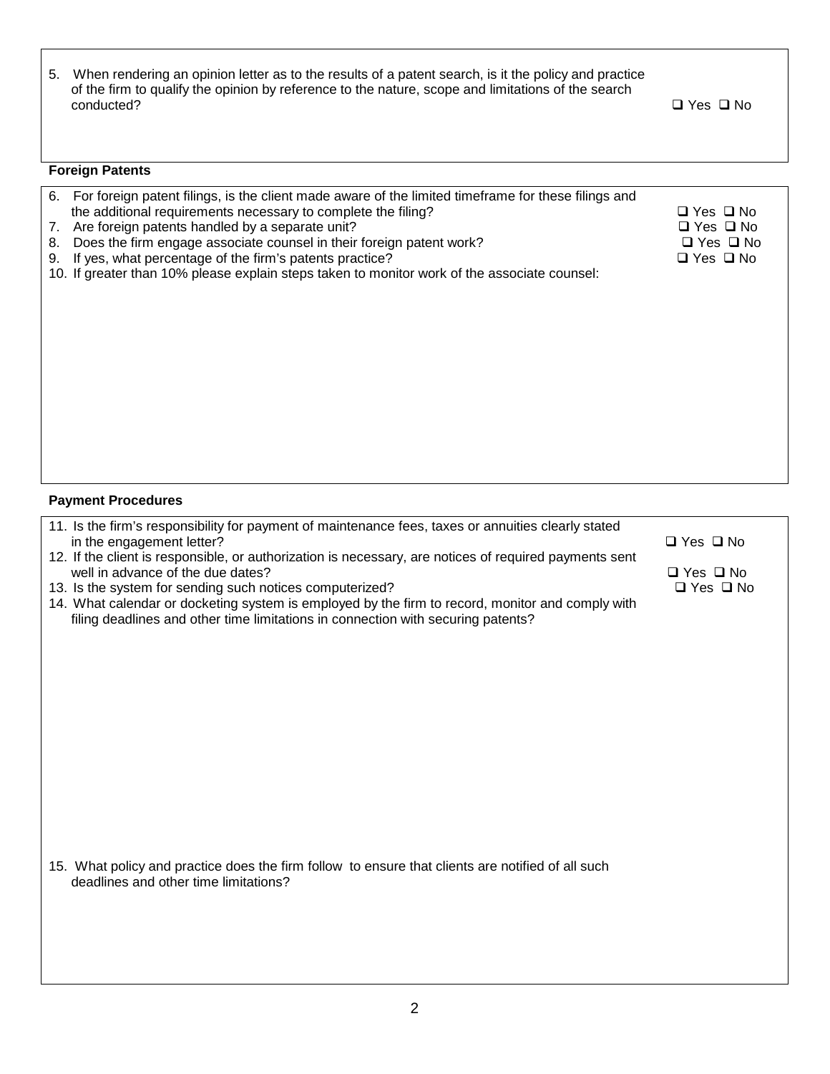| 5. When rendering an opinion letter as to the results of a patent search, is it the policy and practice |
|---------------------------------------------------------------------------------------------------------|
| of the firm to qualify the opinion by reference to the nature, scope and limitations of the search      |
| conducted?                                                                                              |

 $\Box$  Yes  $\Box$  No

| <b>Foreign Patents</b> |
|------------------------|
|------------------------|

|    | 6. For foreign patent filings, is the client made aware of the limited timeframe for these filings and |                      |  |
|----|--------------------------------------------------------------------------------------------------------|----------------------|--|
|    | the additional requirements necessary to complete the filing?                                          | □ Yes □ No           |  |
|    | 7. Are foreign patents handled by a separate unit?                                                     | $\Box$ Yes $\Box$ No |  |
| 8. | Does the firm engage associate counsel in their foreign patent work?                                   | $\Box$ Yes $\Box$ No |  |
| 9. | If yes, what percentage of the firm's patents practice?                                                | $\Box$ Yes $\Box$ No |  |
|    | 10. If greater than 10% please explain steps taken to monitor work of the associate counsel:           |                      |  |
|    |                                                                                                        |                      |  |
|    |                                                                                                        |                      |  |
|    |                                                                                                        |                      |  |
|    |                                                                                                        |                      |  |
|    |                                                                                                        |                      |  |
|    |                                                                                                        |                      |  |
|    |                                                                                                        |                      |  |
|    |                                                                                                        |                      |  |
|    |                                                                                                        |                      |  |
|    |                                                                                                        |                      |  |
|    |                                                                                                        |                      |  |

## **Payment Procedures**

| 11. Is the firm's responsibility for payment of maintenance fees, taxes or annuities clearly stated<br>in the engagement letter?                                                                        | $\Box$ Yes $\Box$ No                         |
|---------------------------------------------------------------------------------------------------------------------------------------------------------------------------------------------------------|----------------------------------------------|
| 12. If the client is responsible, or authorization is necessary, are notices of required payments sent<br>well in advance of the due dates?<br>13. Is the system for sending such notices computerized? | $\Box$ Yes $\Box$ No<br>$\Box$ Yes $\Box$ No |
| 14. What calendar or docketing system is employed by the firm to record, monitor and comply with<br>filing deadlines and other time limitations in connection with securing patents?                    |                                              |
|                                                                                                                                                                                                         |                                              |
|                                                                                                                                                                                                         |                                              |
|                                                                                                                                                                                                         |                                              |
|                                                                                                                                                                                                         |                                              |
|                                                                                                                                                                                                         |                                              |
| 15. What policy and practice does the firm follow to ensure that clients are notified of all such<br>deadlines and other time limitations?                                                              |                                              |
|                                                                                                                                                                                                         |                                              |